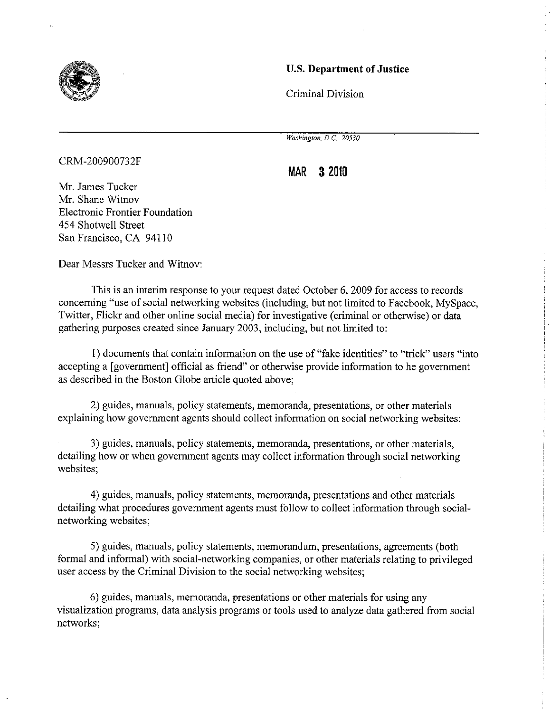

#### U.S. **Department of Justice**

Criminal Division

*Washington, D.C. 20530* 

CRM-200900732F

**MAR 3 2010** 

Mr. James Tucker Mr. Shane Witnov Electronic Frontier Foundation 454 Shotwell Street San Francisco, CA 94110

Dear Messrs Tucker and Witnov:

This is an interim response to your request dated October 6, 2009 for access to records concerning "use of social networking websites (including, but not limited to Facebook, MySpace, Twitter, Flickr and other online social media) for investigative (criminal or otherwise) or data gathering purposes created since January 2003, including, but not limited to:

1) documents that contain information on the use of "fake identities" to "trick" users "into accepting a [government] official as friend" or otherwise provide information to he government as described in the Boston Globe article quoted above;

2) guides, manuals, policy statements, memoranda, presentations, or other materials explaining how government agents should collect information on social networking websites:

3) guides, manuals, policy statements, memoranda, presentations, or other materials, detailing how or when government agents may collect information through social networking websites;

4) guides, manuals, policy statements, memoranda, presentations and other materials detailing what procedures government agents must follow to collect information through socialnetworking websites;

5) guides, manuals, policy statements, memorandum, presentations, agreements (both formal and informal) with social-networking companies, or other materials relating to privileged user access by the Criminal Division to the social networking websites;

6) guides, manuals, memoranda, presentations or other materials for using any visualization programs, data analysis programs or tools used to analyze data gathered from social networks;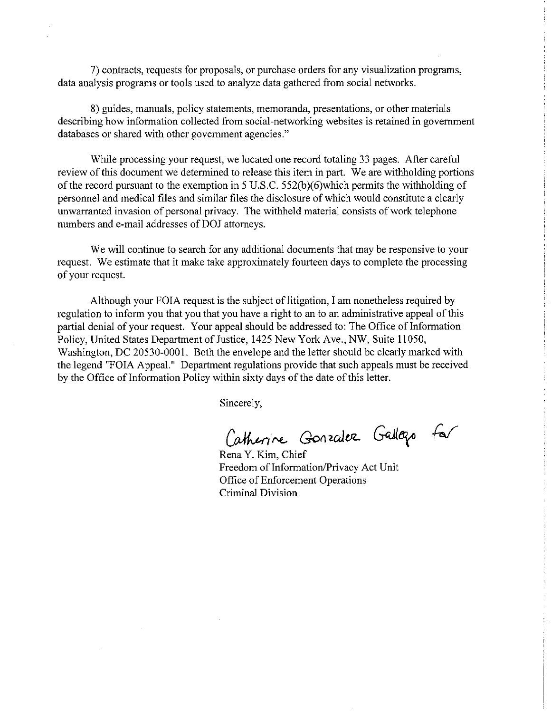7) contracts, requests for proposals, or purchase orders for any visualization programs, data analysis programs or tools used to analyze data gathered from social networks.

8) guides, manuals, policy statements, memoranda, presentations, or other materials describing how information collected from social-networking websites is retained in government databases or shared with other government agencies."

While processing your request, we located one record totaling 33 pages. After careful review of this document we determined to release this item in part. We are withholding portions of the record pursuant to the exemption in 5 U.S.C. 552(b)(6)which permits the withholding of personnel and medical files and similar files the disclosure of which would constitute a clearly unwarranted invasion of personal privacy. The withheld material consists of work telephone numbers and e-mail addresses of DOJ attorneys.

We will continue to search for any additional documents that may be responsive to your request. We estimate that it make take approximately fourteen days to complete the processing of your request.

Although your FOIA request is the subject of litigation, I am nonetheless required by regulation to inform you that you that you have a right to an to an administrative appeal of this partial denial of your request. Your appeal should be addressed to: The Office of Information Policy, United States Department of Justice, 1425 New York Ave., NW, Suite 11050, Washington, DC 20530-0001. Both the envelope and the letter should be clearly marked with the legend "FOIA Appeal." Department regulations provide that such appeals must be received by the Office of Information Policy within sixty days of the date of this letter.

Sincerely,

Catherine Gonzalez Gallazo for

Rena Y. Kim, Chief Freedom of Information/Privacy Act Unit Office of Enforcement Operations Criminal Division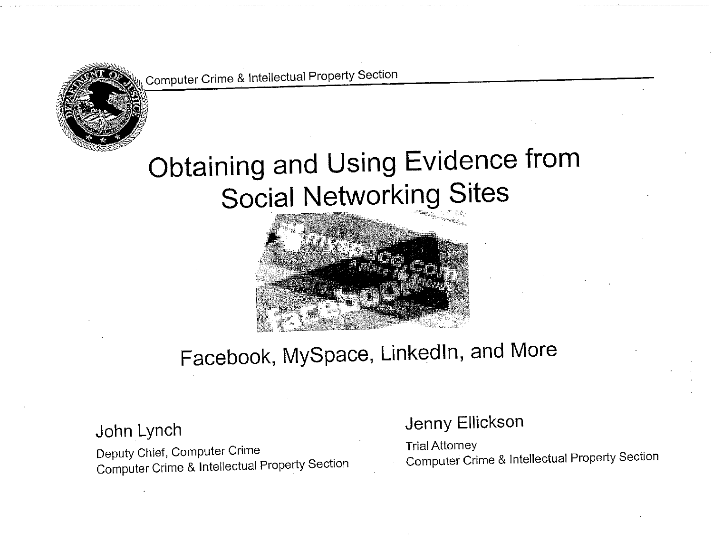

# Obtaining and Using Evidence from Social Networking Sites



# Facebook, MySpace, Linkedln, and More

### John Lynch

Deputy Chief, Computer Crime Computer Crime & Intellectual Property Section

### Jenny Ellickson

Trial Attorney Computer Crime & Intellectual Property Section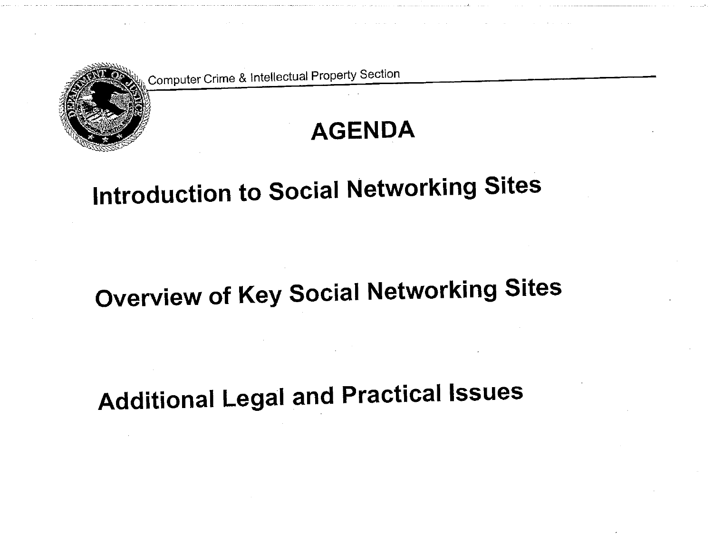

# **AGENDA**

# **Introduction to Social Networking Sites**

# **Overview of Key Social Networking Sites**

**Additional Legal and Practical Issues**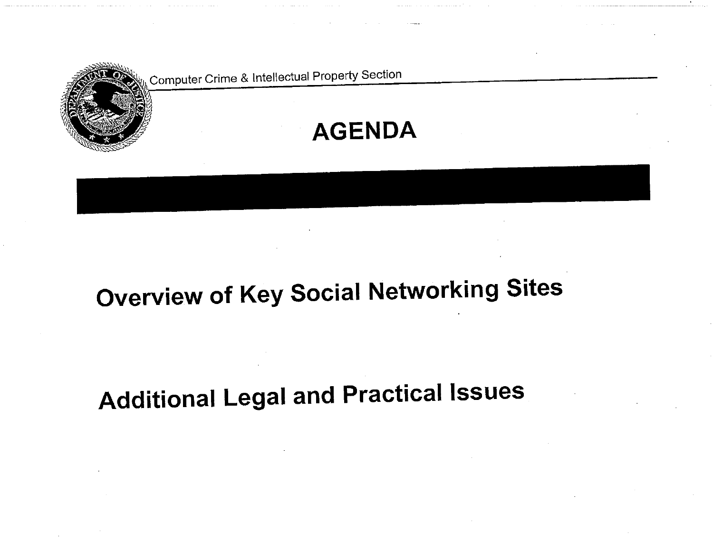

# **AGENDA**

# **Overview of Key Social Networking Sites**

# **Additional Legal and Practical Issues**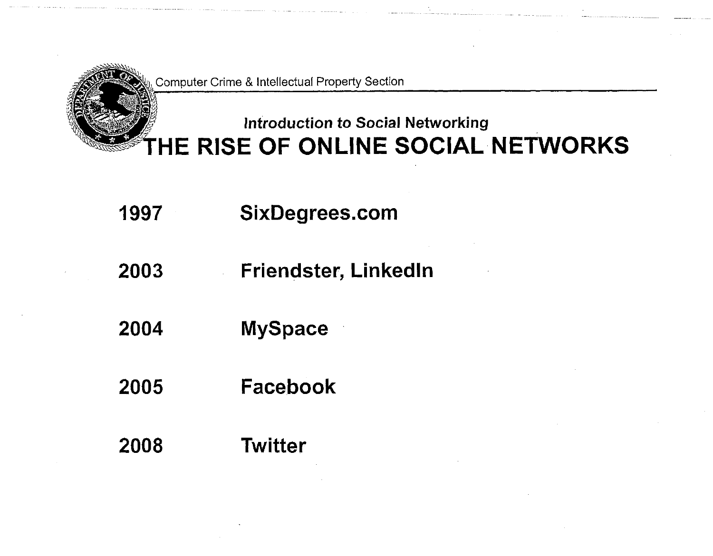

### **Introduction to Social Networking THE RISE OF ONLINE SOCIAL NETWORKS**

- **1997 SixDegrees.com**
- **2003 Friendster, Linkedln**
- **2004 MySpace**
- **2005 Facebook**
- **2008 Twitter**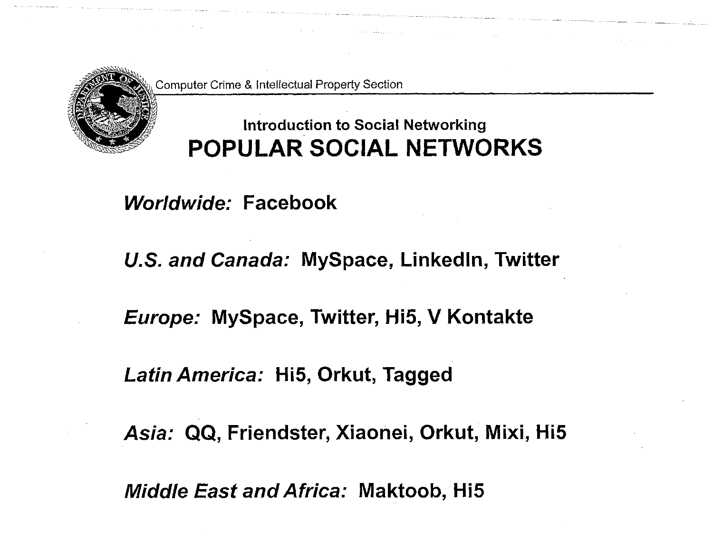

### **Introduction to Social Networking POPULAR SOCIAL NETWORKS**

*Worldwide:* **Facebook** 

*U.S. and Canada:* **MySpace, Linkedln, Twitter** 

*Europe:* **MySpace, Twitter, Hi5, V Kontakte** 

*Latin America:* **Hi5, Orkut, Tagged** 

*Asia:* **QQ, Friendster, Xiaonei, Orkut, Mixi, Hi5** 

*Middle East and Africa:* **Maktoob, Hi5**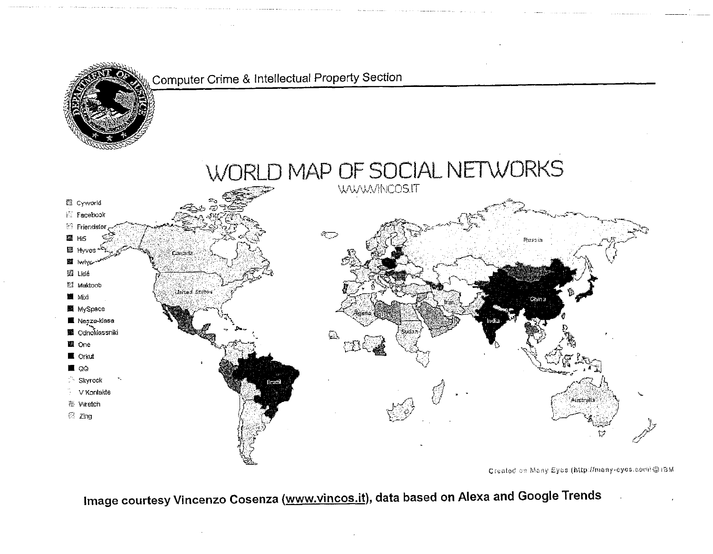

Created on Many Eyes (http://many-cyes.com/@15M

Image courtesy Vincenzo Cosenza (www.vincos.it), data based on Alexa and Google Trends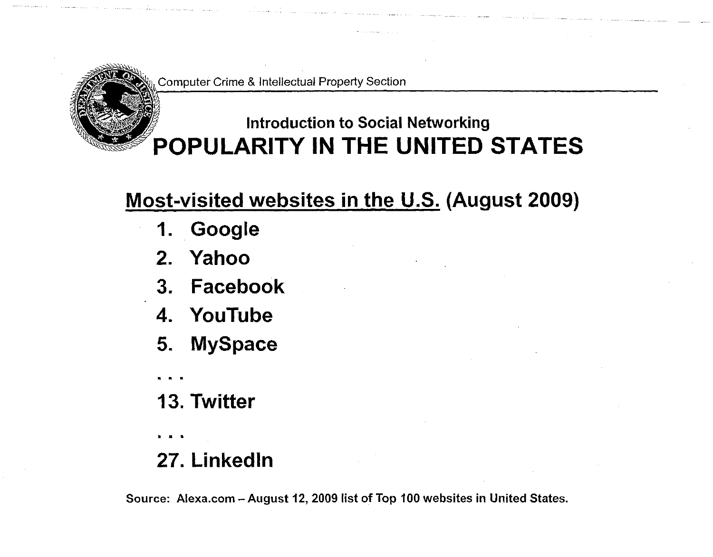

## **Introduction to Social Networking POPULARITY IN THE UNITED STATES**

## **Most-visited websites in the U-S. (August 2009)**

- **1. Google**
- **2. Yahoo**
- **3. Facebook**
- **4. YouTube**
- **5. MySpace • • •**
- **13. Twitter**

• • •

**27. Linkedln** 

**Source: Alexa.com - August 12, 2009 list of Top 100 websites in United States.**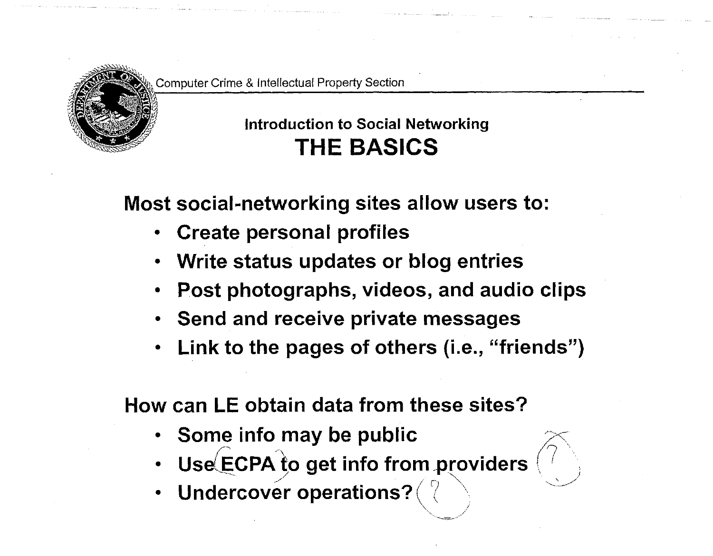

### **Introduction to Social Networking THE BASICS**

**Most social-networking sites allow users to:** 

- **Create personal profiles**
- **Write status updates or blog entries**
- **Post photographs, videos, and audio clips**
- **Send and receive private messages**
- **Link to the pages of others (i.e., "friends")**

**How can LE obtain data from these sites?** 

- **Some info may be public**
- **Use** ECPA to get info from providers
	- **Undercover operations?**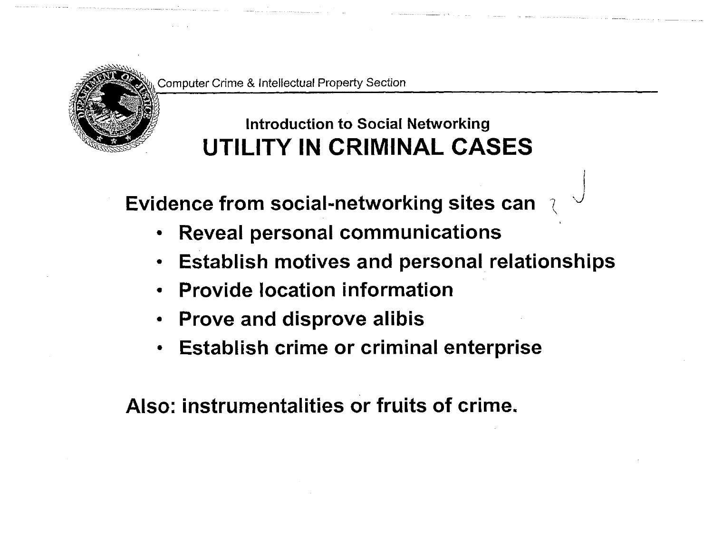

## **Introduction to Social Networking UTILITY IN CRIMINAL CASES**

**Evidence from social-networking sites can \<sup>J</sup>**

- **Reveal personal communications**   $\bullet$
- **Establish motives and personal relationships**
- **Provide location information**
- **Prove and disprove alibis**
- **Establish crime or criminal enterprise**   $\bullet$

**Also: instrumentalities or fruits of crime.**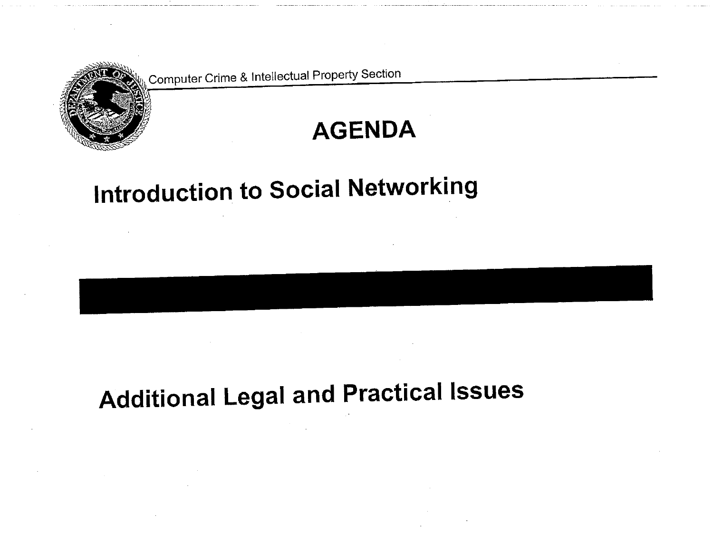

# **AGENDA**

# **Introduction to Social Networking**

# **Additional Legal and Practical Issues**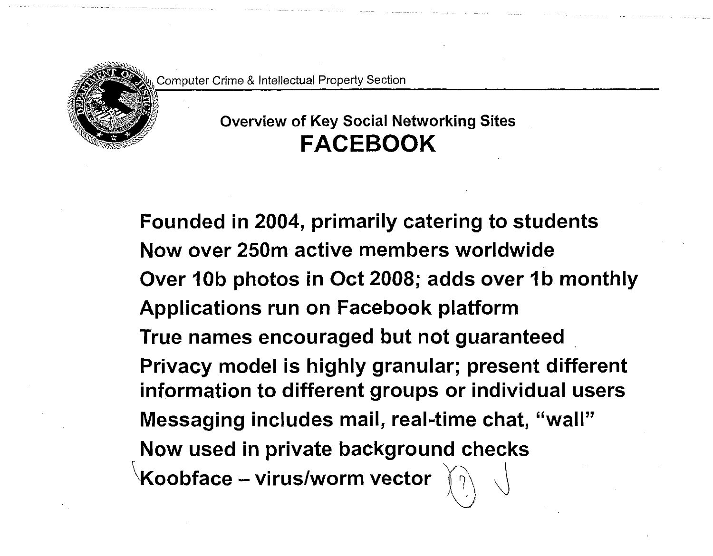

### **Overview of Key Social Networking Sites FACEBOOK**

**Founded in 2004, primarily catering to students Now over 250m active members worldwide Over 10b photos in Oct 2008; adds over 1b monthly Applications run on Facebook platform True names encouraged but not guaranteed Privacy model is highly granular; present different information to different groups or individual users Messaging includes mail, real-time chat, "wall" Now used in private background checks Koobface - virus/worm vector**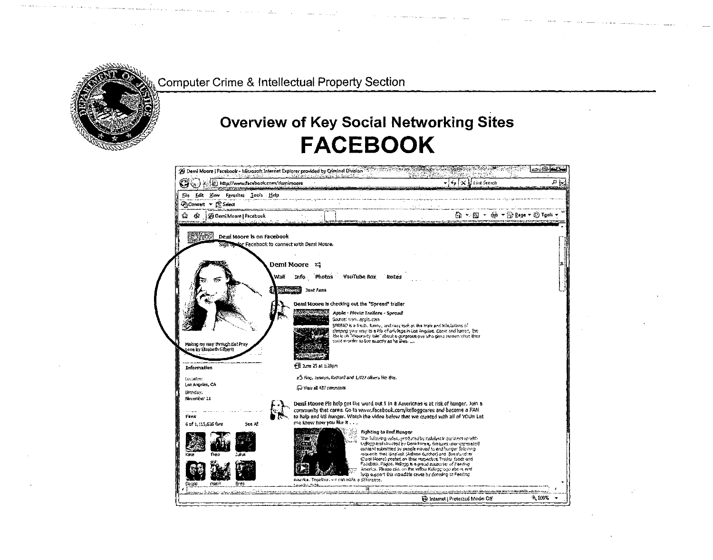

### **Overview of Key Social Networking Sites FACEBOOK**

|                                                              | 控 http://www.facebook.com/demimoore                                                                                                                              | ام⊁                                                                                                                                                        | X Elisa Secret           | ی م |
|--------------------------------------------------------------|------------------------------------------------------------------------------------------------------------------------------------------------------------------|------------------------------------------------------------------------------------------------------------------------------------------------------------|--------------------------|-----|
| File Edit View Favorites Looks Help                          |                                                                                                                                                                  |                                                                                                                                                            |                          |     |
| GaConvert v ES Select                                        |                                                                                                                                                                  |                                                                                                                                                            |                          |     |
| 雷<br><b>&amp; Demi Moore   Facebook</b>                      |                                                                                                                                                                  |                                                                                                                                                            | ۞ 、⊠ 、  、  Page 、 ۞ Took |     |
| <b>ACCOMPANY LINE</b>                                        |                                                                                                                                                                  |                                                                                                                                                            |                          |     |
| Demi Moore is on Facebook                                    |                                                                                                                                                                  |                                                                                                                                                            |                          |     |
| Sign obser Facebook to connect with Demi Moore.              |                                                                                                                                                                  |                                                                                                                                                            |                          |     |
|                                                              |                                                                                                                                                                  |                                                                                                                                                            |                          |     |
|                                                              | Demi Moore<br>E.                                                                                                                                                 |                                                                                                                                                            |                          |     |
| Wall                                                         | <b>YouTube Box</b><br>Info Photos                                                                                                                                | <b>Hotes</b>                                                                                                                                               |                          |     |
|                                                              | <b>HARTASTAS</b><br>Just Fans                                                                                                                                    |                                                                                                                                                            |                          |     |
|                                                              |                                                                                                                                                                  |                                                                                                                                                            |                          |     |
|                                                              | Demi Moore is checking out the "Spread" trailer                                                                                                                  |                                                                                                                                                            |                          |     |
|                                                              | Apple - Movie Trailers - Spread<br>Saleke: www.apple.com                                                                                                         |                                                                                                                                                            |                          |     |
|                                                              |                                                                                                                                                                  | SPREAD is a fresh, funny, and racy look at the trials and misulations of                                                                                   |                          |     |
|                                                              |                                                                                                                                                                  | deeping your way to a life of privilege in Las Angeles. Conic and kames, the<br>him is an "reportery two." About 6 gengerous put who gives momen when they |                          |     |
| Making my way through Eat Pray<br>Love by Elizabeth Gilbert) | was norder to be exactly as he likes.                                                                                                                            |                                                                                                                                                            |                          |     |
|                                                              |                                                                                                                                                                  |                                                                                                                                                            |                          |     |
| Information                                                  | 帽 Late 25 at 1:28pm                                                                                                                                              |                                                                                                                                                            |                          |     |
| Locadon:                                                     | r <sup>3</sup> Ying, Jasmyn, Richard and 1,727 others like this.                                                                                                 |                                                                                                                                                            |                          |     |
| Los Angeles, CA                                              | C View all 137 comments                                                                                                                                          |                                                                                                                                                            |                          |     |
| dimindant<br>November 11                                     |                                                                                                                                                                  |                                                                                                                                                            |                          |     |
|                                                              | Demi Moore Pis help get the word out 1 in 8 Americans is at risk of hunger. Join a                                                                               |                                                                                                                                                            |                          |     |
| Fans                                                         | community that cares. Go to www.facebook.com/kelloggcares and become a FAN<br>to halp and US hunger. Watch the video below that we created with all of YOU!! Let |                                                                                                                                                            |                          |     |
| 6 of 1,115,636 fars<br>See All                               | me know how you like it                                                                                                                                          |                                                                                                                                                            |                          |     |
|                                                              | Fighting to End Hunger                                                                                                                                           | The following values, produced by Katalyst in partners to with-                                                                                            |                          |     |
|                                                              |                                                                                                                                                                  | tellong and directed by Deni Morre, features user-parentled<br>content submitted by people moved to end hunger following.                                  |                          |     |
| lins                                                         |                                                                                                                                                                  | requests that Geplush (Ashton Kutcher) and The slundiar<br>(Deni Noore) preteri on their remembre Twitter feeds and                                        |                          |     |
|                                                              |                                                                                                                                                                  | Fecubosi, Pageo, Kellegg is a projet supporter of Feeding.                                                                                                 |                          |     |
|                                                              |                                                                                                                                                                  | America. Please clid, on the villow Kellogg logo above mix                                                                                                 |                          |     |
|                                                              |                                                                                                                                                                  | hain support this monacitie cause by certaing to Feeding.                                                                                                  |                          |     |
| nam <sup>i</sup><br>Cesco<br>Enes                            | America. Togathar, we can make a difference.                                                                                                                     | வில்ப் அம்வளவையையினர்கள் அம்வதுக்கிற்கிற்றாக உத்தையுக்கார். புதையுத்து நடித்து அம்வது அவர் சின்றது குற்                                                    |                          |     |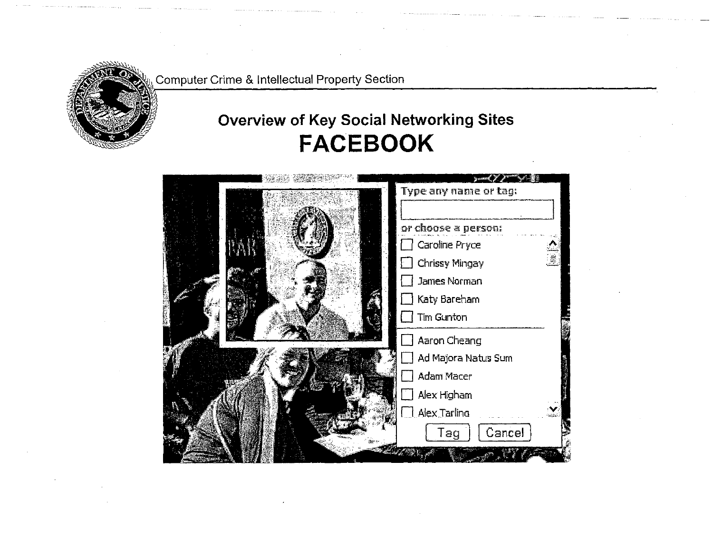

### **Overview of Key Social Networking Sites FACEBOOK**

| Type any name or tag:                 |
|---------------------------------------|
| or choose a person:<br>Caroline Pryce |
| Chrissy Mingay<br>James Norman        |
| Katy Bareham<br>Tim Gunton            |
| Aaron Cheang                          |
| Ad Majora Natus Sum                   |
| Adam Macer<br>Alex Higham             |
| Alex Tarling                          |
| Cancel<br>Tag                         |
|                                       |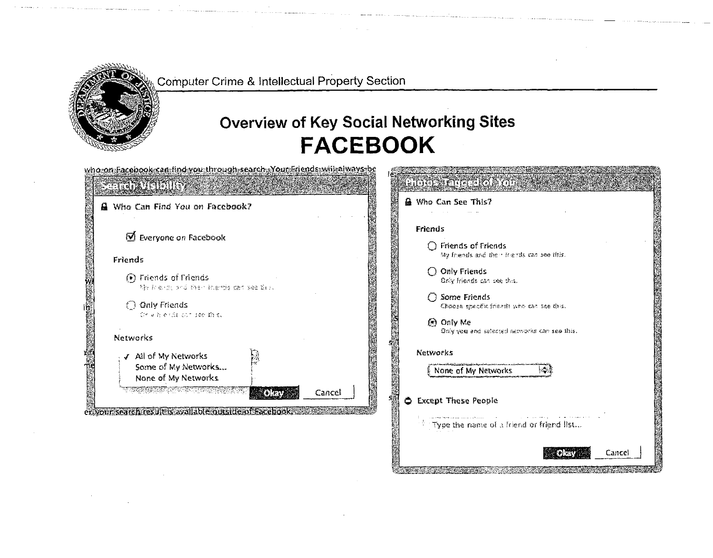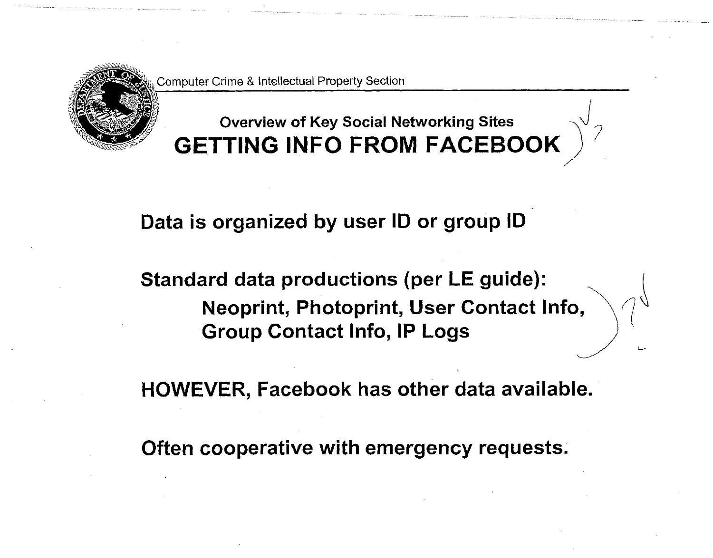

### **Overview of Key Social Networking Sites GETTING INFO FROM FACEBOOK**

### **Data is organized by user ID or group ID**

**Standard data productions (per LE guide): Neoprint, Photoprint, User Contact Info, Group Contact Info, IP Logs** 

**HOWEVER, Facebook has other data available.** 

**Often cooperative with emergency requests.**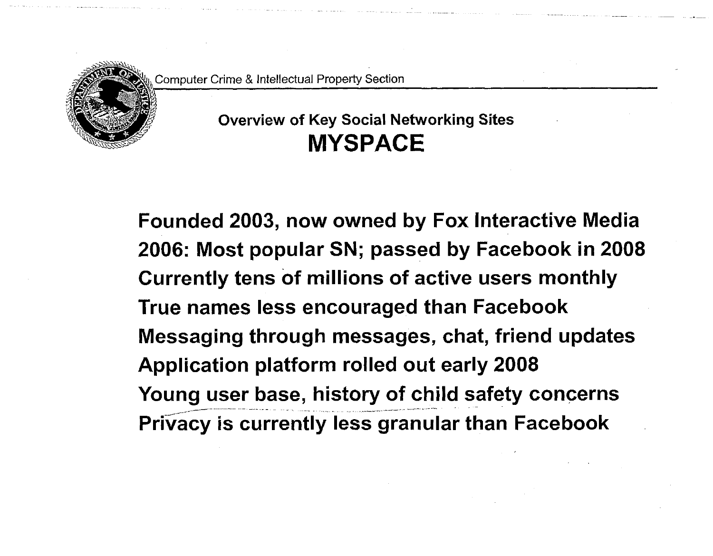

### **Overview of Key Social Networking Sites MYSPACE**

**Founded 2003, now owned by Fox Interactive Media 2006: Most popular SN; passed by Facebook in 2008 Currently tens of millions of active users monthly True names less encouraged than Facebook Messaging through messages, chat, friend updates Application platform rolled out early 2008 Young user base, history of child safety concerns Privacy is currently less granular than Facebook**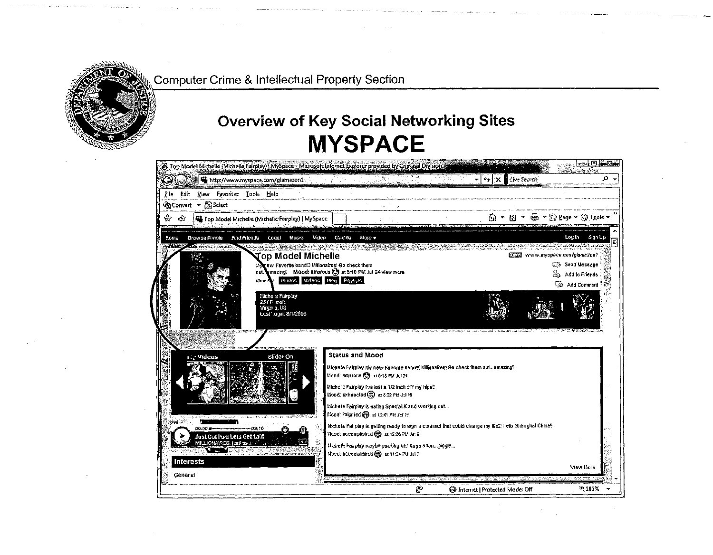

### **Overview of Key Social Networking Sites MYSPACE**

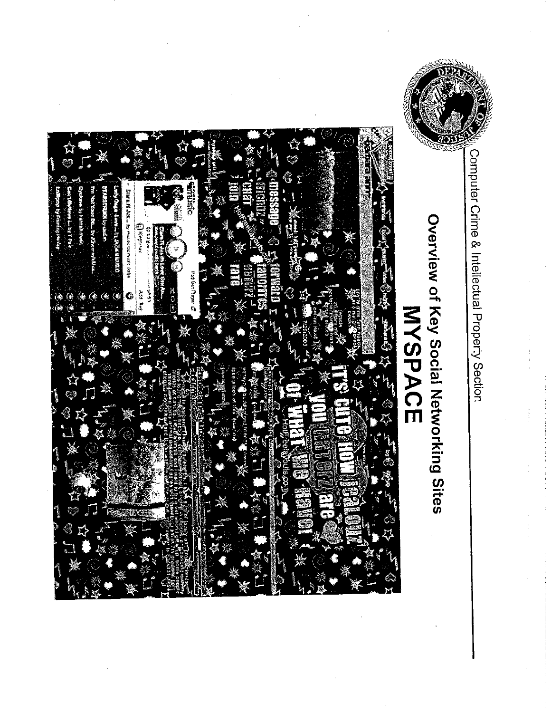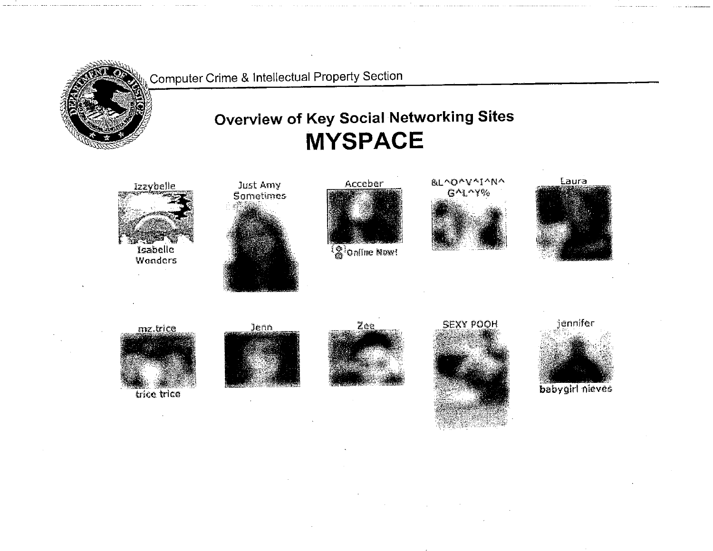

jennifer

Laura



babygirl nieves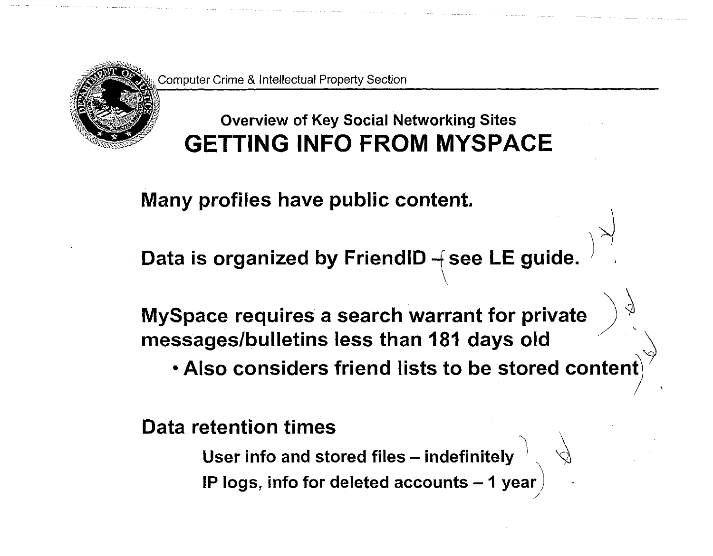## **Overview of Key Social Networking Sites GETTING INFO FROM MYSPACE**

**Many profiles have public content.** 

Data is organized by FriendID - **see LE guide.** 

**MySpace requires a search warrant for private messages/bulletins less than 181 days old** 

**• Also considers friend lists to be stored content** 

/

**Data retention times** 

User info and stored files – indefinitely  $\left. \right. ^{+}\left. \right. ^{-}\left. \right. ^{-}\left. \right. ^{-}\left. \right. ^{-}\left. \right. ^{-}\left. \right. ^{-}\left. \right. ^{-}\left. \right. ^{-}\left. \right. ^{-}\left. \right. ^{-}\left. \right. ^{-}\left. \right. ^{-}\left. \right. ^{-}\left. \right. ^{-}\left. \right. ^{-}\left. \right. ^{-}\left. \right. ^{-}\left. \right. ^{-}\left. \right. ^{-}\left. \right. ^{-}\left. \right. ^{-}\$ **IP** logs, info for deleted accounts – 1 year  $\hspace{0.1mm}/\hspace{0.1mm}$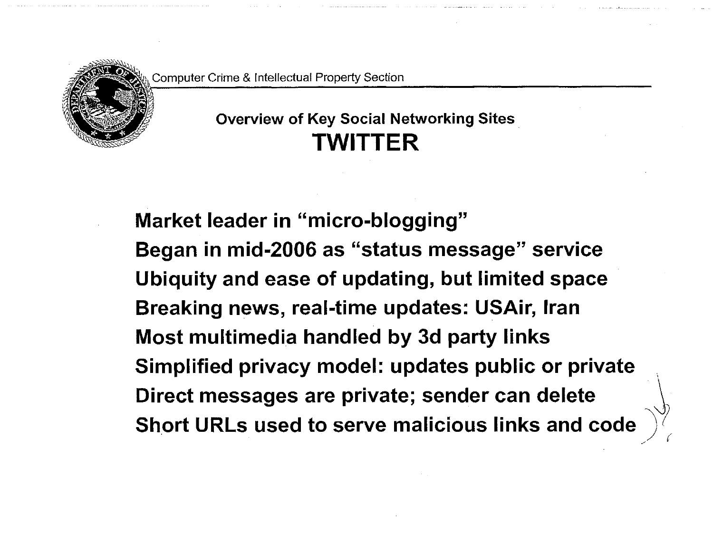

### **Overview of Key Social Networking Sites TWITTER**

**Market leader in "micro-blogging" Began in mid-2006 as "status message" service Ubiquity and ease of updating, but limited space Breaking news, real-time updates: USAir, Iran Most multimedia handled by 3d party links Simplified privacy model: updates public or private Direct messages are private; sender can delete Short URLs used to serve malicious links and code**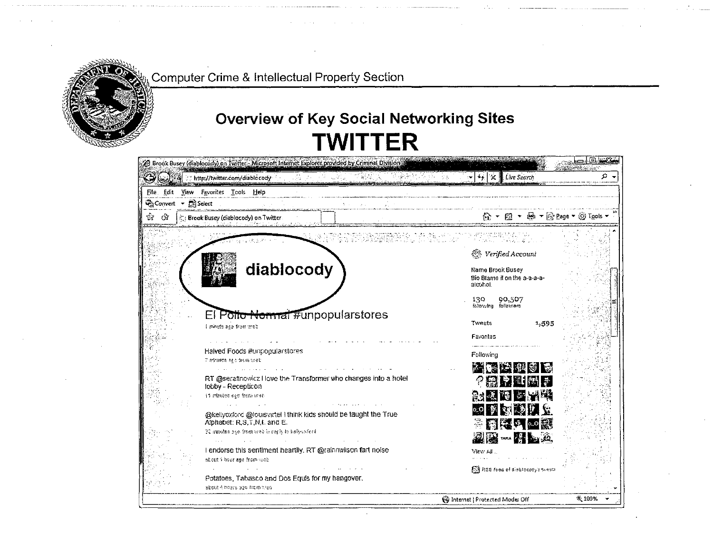

### **Overview of Key Social Networking Sites TWITTER**

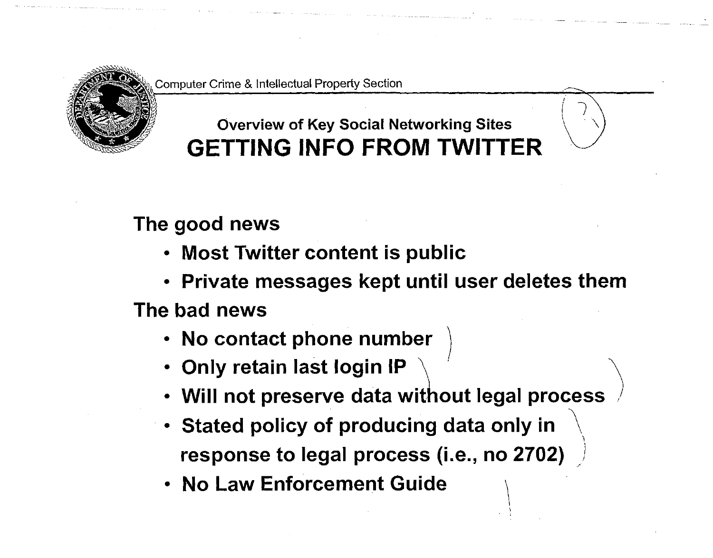

## **Overview of Key Social Networking Sites GETTING INFO FROM TWITTER**

**The good news** 

- **Most Twitter content is public**
- **Private messages kept until user deletes them**

**The bad news** 

- **No contact phone number**
- **Only retain last login IP ^**
- **Will not preserve data without legal process**
- **Stated policy of producing data only in \**  response to legal process (i.e., no 2702)
- **No Law Enforcement Guide \**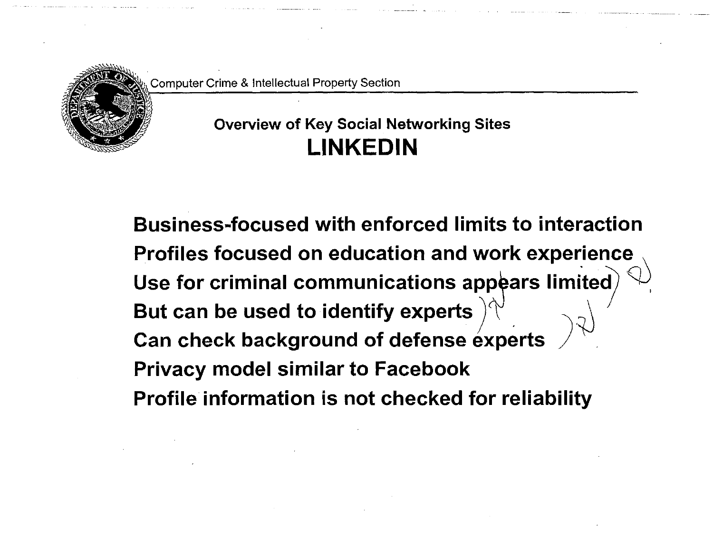

### **Overview of Key Social Networking Sites LINKEDIN**

**Business-focused with enforced limits to interaction Profiles focused on education and work experience**  Use for criminal communications appears limited **But can be used to identify experts Can check background of defense experts Privacy model similar to Facebook Profile information is not checked for reliability**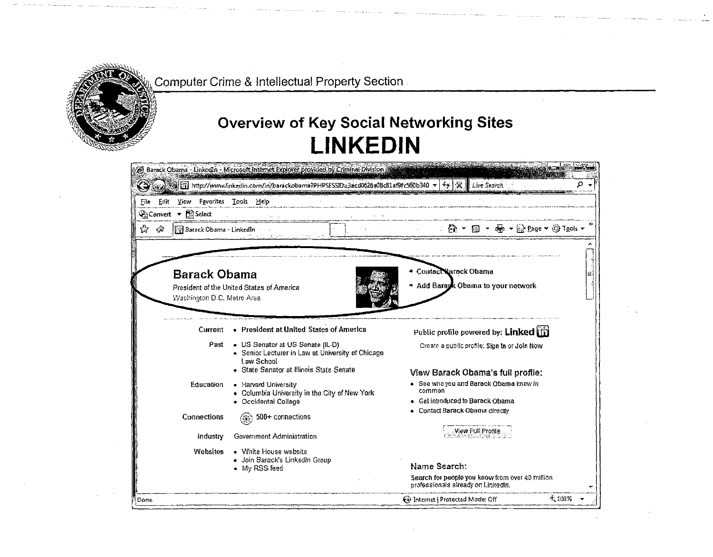

### **Overview of Key Social Networking Sites** LINKEDIN

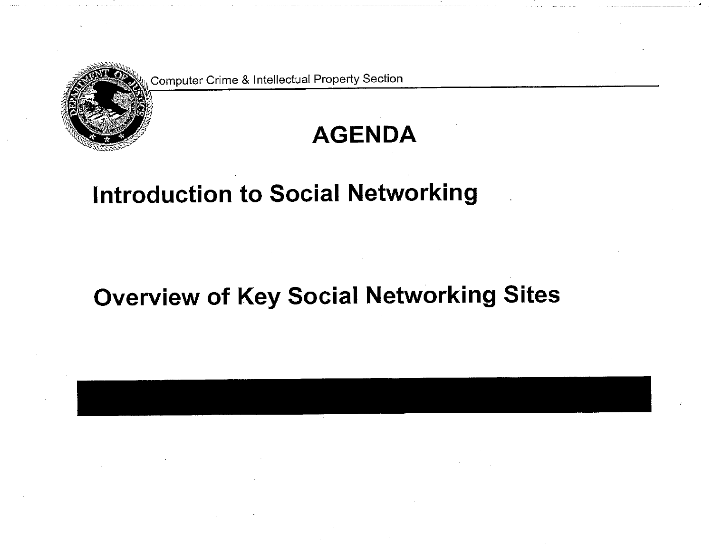

# **AGENDA**

# **Introduction to Social Networking**

# **Overview of Key Social Networking Sites**

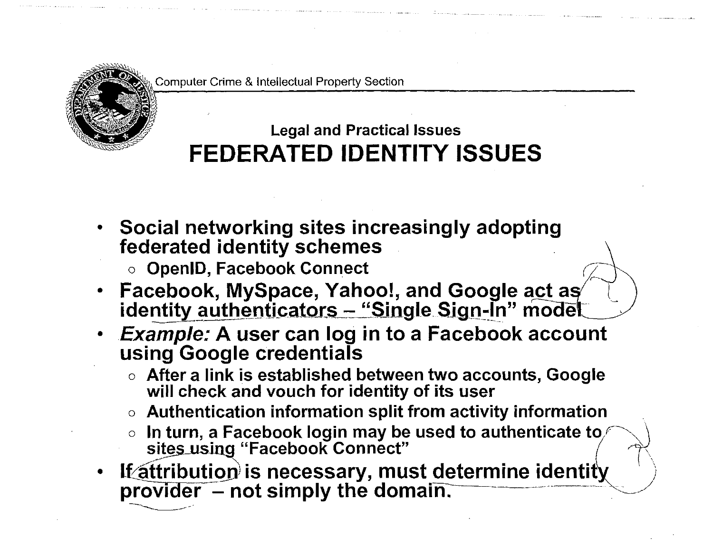

## **Legal and Practical Issues FEDERATED IDENTITY ISSUES**

- **Social networking sites increasingly adopting federated identity schemes** 
	- **o OpenID, Facebook Connect**
- **Facebook, MySpace, Yahoo!, and Google actas identity authenticators - "Single Sign-In" model**
- *Example:* **A user can log in to a Facebook account using Google credentials** 
	- **o After a link is established between two accounts, Google will check and vouch for identity of its user**
	- **o Authentication information split from activity information**
	- $\circ$  In turn, a Facebook login may be used to authenticate to<sub>/</sub> sites using "Facebook Connect"
- **If attribution is necessary, must determine identity** provider – not simply the domain.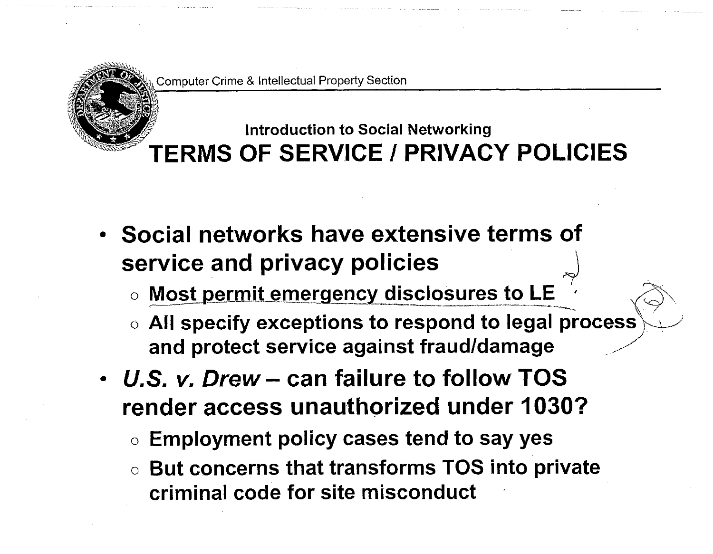

a

## **Introduction to Social Networking TERMS OF SERVICE I PRIVACY POLICIES**

- **Social networks have extensive terms of**  service and privacy policies
	- $\circ$  Most permit emergency disclosures to LE
	- **o All specify exceptions to respond to legal process and protect service against fraud/damage ^**
- *U.S. v: Drew***- can failure to follow TOS render access unauthorized under 1030?** 
	- **o Employment policy cases tend to say yes**
	- o **But concerns that transforms TOS into private criminal code for site misconduct**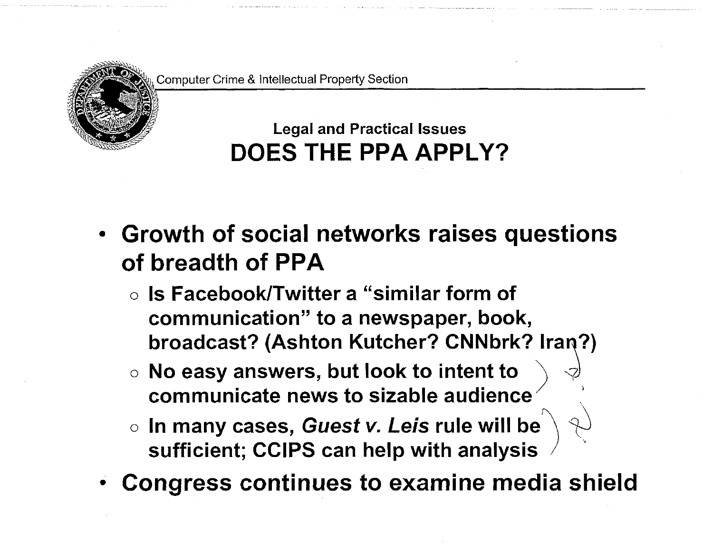

## **Legal and Practical Issues DOES THE PPA APPLY?**

- **Growth of social networks raises questions of breadth of PPA** 
	- **o Is Facebook/Twitter a "similar form of communication" to a newspaper, book, broadcast? (Ashton Kutcher? CNNbrk? Iran?)**
	- o **No easy answers, but look to intent to \ <? communicate news to sizable audience**
	- o **In many cases,** *Guest v***. Le/s rule will be sufficient; CCIPS can help with analysis**
- **Congress continues to examine media shield**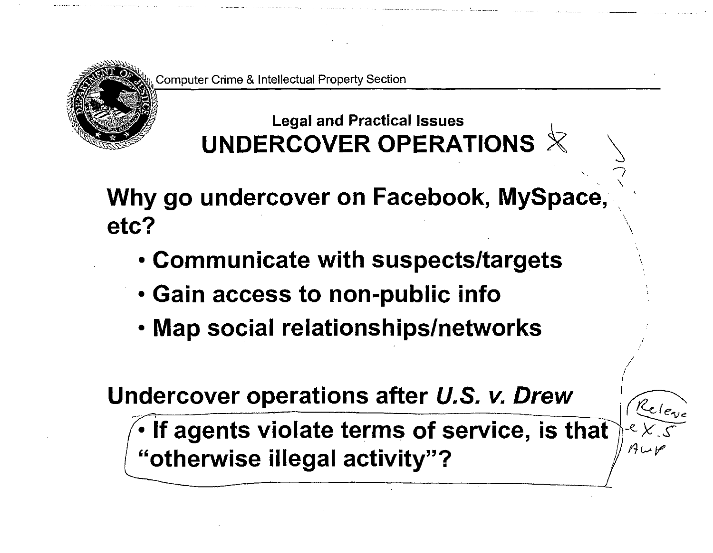

## **Legal and Practical Issues UNDERCOVER OPERATIONS**

**Why go undercover on Facebook, MySpace, etc?** 

- **Communicate with suspects/targets**
- **Gain access to non-public info**
- **Map social relationships/networks**

**Undercover operations after** *U.S. v. Drew* 

If agents violate terms of service, is that **"otherwise illegal activity"?** 



 $\overline{Q}$ *\*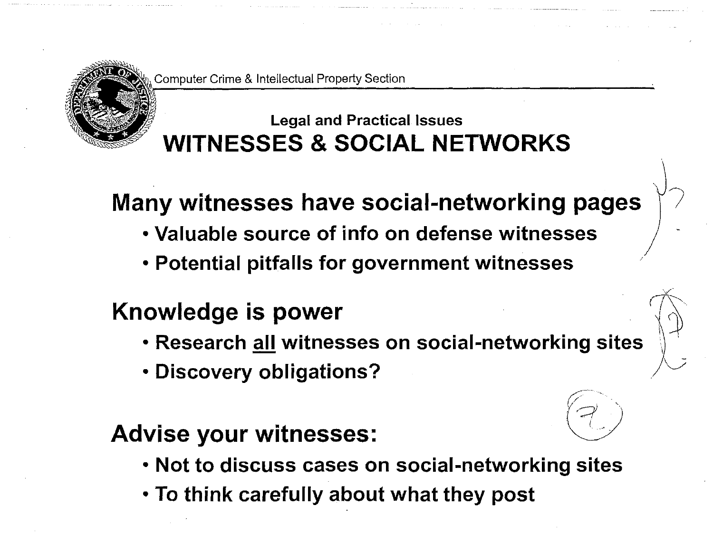

## **Legal and Practical Issues WITNESSES & SOCIAL NETWORKS**

# **Many witnesses have social-networking pages**

 $\setminus$ 

- Valuable source of info on defense witnesses
- **Potential pitfalls for government witnesses**

# **Knowledge is power**

- **Research all witnesses on social-networking sites**
- **Discovery obligations?**

## **Advise your witnesses:**

- **Not to discuss cases on social-networking sites**
- **To think carefully about what they post**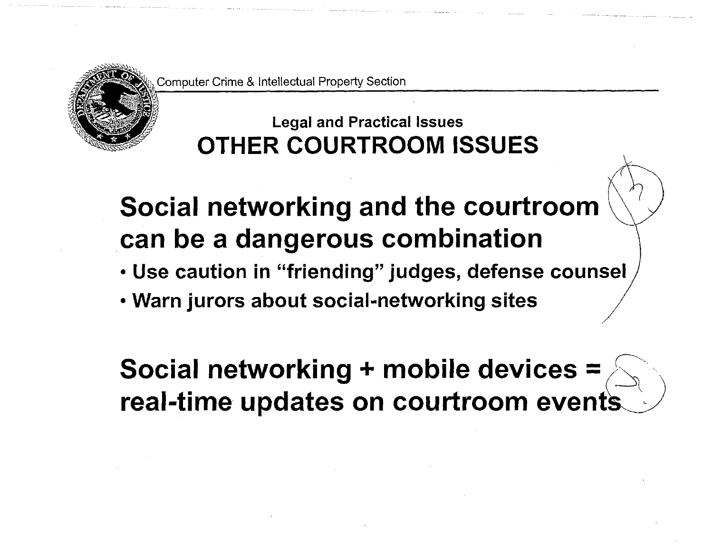

## **Legal and Practical Issues OTHER COURTROOM ISSUES**

# **Social networking and the courtroom can be a dangerous combination**

- **Use caution in "friending" judges, defense counsel**
- **Warn jurors about social-networking sites**

**Social networking + mobile devices = real-time updates on courtroom events**